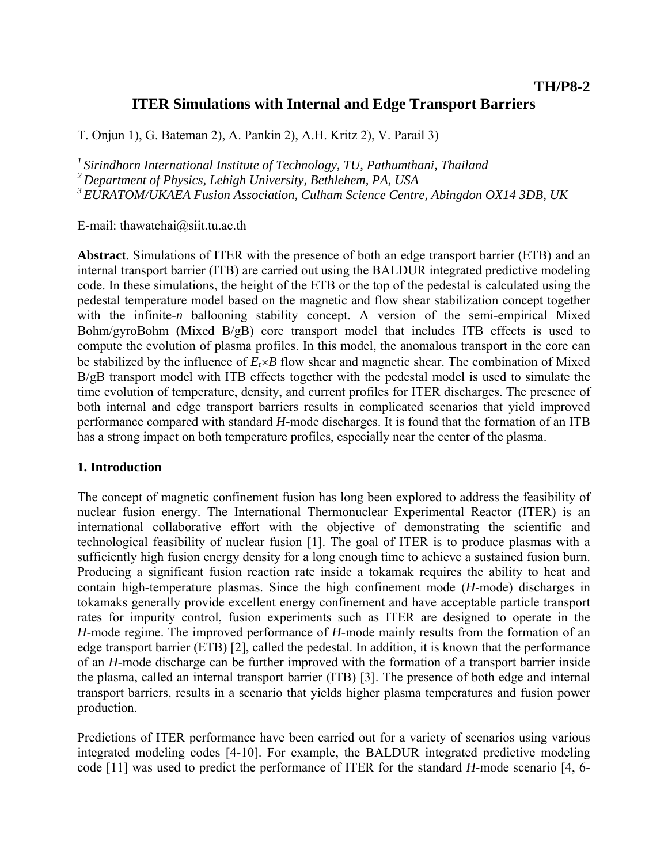# **ITER Simulations with Internal and Edge Transport Barriers**

T. Onjun 1), G. Bateman 2), A. Pankin 2), A.H. Kritz 2), V. Parail 3)

*1 Sirindhorn International Institute of Technology, TU, Pathumthani, Thailand* 

*2 Department of Physics, Lehigh University, Bethlehem, PA, USA* 

*3 EURATOM/UKAEA Fusion Association, Culham Science Centre, Abingdon OX14 3DB, UK* 

E-mail: thawatchai@siit.tu.ac.th

**Abstract**. Simulations of ITER with the presence of both an edge transport barrier (ETB) and an internal transport barrier (ITB) are carried out using the BALDUR integrated predictive modeling code. In these simulations, the height of the ETB or the top of the pedestal is calculated using the pedestal temperature model based on the magnetic and flow shear stabilization concept together with the infinite-*n* ballooning stability concept. A version of the semi-empirical Mixed Bohm/gyroBohm (Mixed  $B/gB$ ) core transport model that includes ITB effects is used to compute the evolution of plasma profiles. In this model, the anomalous transport in the core can be stabilized by the influence of *E*r×*B* flow shear and magnetic shear. The combination of Mixed B/gB transport model with ITB effects together with the pedestal model is used to simulate the time evolution of temperature, density, and current profiles for ITER discharges. The presence of both internal and edge transport barriers results in complicated scenarios that yield improved performance compared with standard *H*-mode discharges. It is found that the formation of an ITB has a strong impact on both temperature profiles, especially near the center of the plasma.

### **1. Introduction**

The concept of magnetic confinement fusion has long been explored to address the feasibility of nuclear fusion energy. The International Thermonuclear Experimental Reactor (ITER) is an international collaborative effort with the objective of demonstrating the scientific and technological feasibility of nuclear fusion [1]. The goal of ITER is to produce plasmas with a sufficiently high fusion energy density for a long enough time to achieve a sustained fusion burn. Producing a significant fusion reaction rate inside a tokamak requires the ability to heat and contain high-temperature plasmas. Since the high confinement mode (*H*-mode) discharges in tokamaks generally provide excellent energy confinement and have acceptable particle transport rates for impurity control, fusion experiments such as ITER are designed to operate in the *H*-mode regime. The improved performance of *H*-mode mainly results from the formation of an edge transport barrier (ETB) [2], called the pedestal. In addition, it is known that the performance of an *H*-mode discharge can be further improved with the formation of a transport barrier inside the plasma, called an internal transport barrier (ITB) [3]. The presence of both edge and internal transport barriers, results in a scenario that yields higher plasma temperatures and fusion power production.

Predictions of ITER performance have been carried out for a variety of scenarios using various integrated modeling codes [4-10]. For example, the BALDUR integrated predictive modeling code [11] was used to predict the performance of ITER for the standard *H*-mode scenario [4, 6-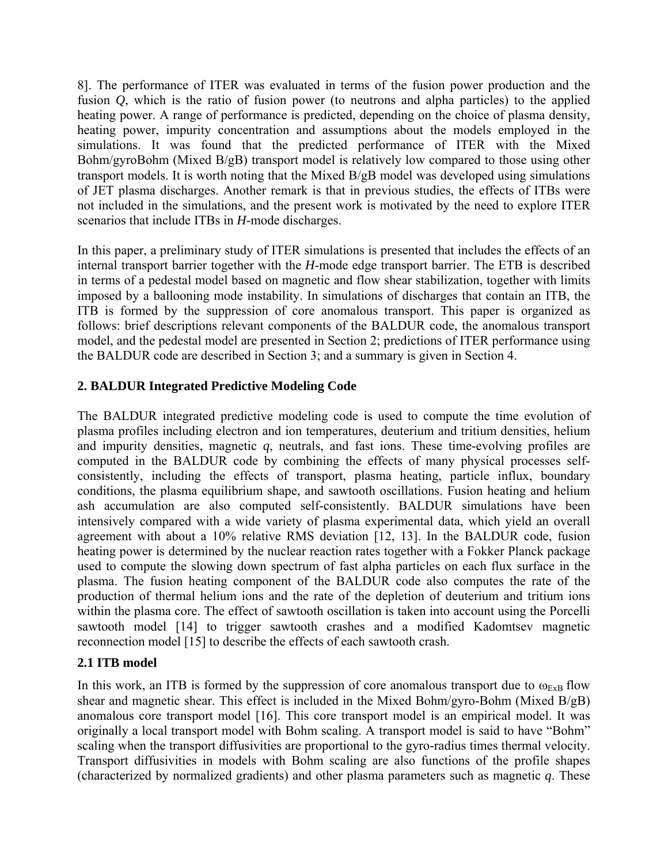8]. The performance of ITER was evaluated in terms of the fusion power production and the fusion *Q*, which is the ratio of fusion power (to neutrons and alpha particles) to the applied heating power. A range of performance is predicted, depending on the choice of plasma density, heating power, impurity concentration and assumptions about the models employed in the simulations. It was found that the predicted performance of ITER with the Mixed Bohm/gyroBohm (Mixed B/gB) transport model is relatively low compared to those using other transport models. It is worth noting that the Mixed B/gB model was developed using simulations of JET plasma discharges. Another remark is that in previous studies, the effects of ITBs were not included in the simulations, and the present work is motivated by the need to explore ITER scenarios that include ITBs in *H*-mode discharges.

In this paper, a preliminary study of ITER simulations is presented that includes the effects of an internal transport barrier together with the *H*-mode edge transport barrier. The ETB is described in terms of a pedestal model based on magnetic and flow shear stabilization, together with limits imposed by a ballooning mode instability. In simulations of discharges that contain an ITB, the ITB is formed by the suppression of core anomalous transport. This paper is organized as follows: brief descriptions relevant components of the BALDUR code, the anomalous transport model, and the pedestal model are presented in Section 2; predictions of ITER performance using the BALDUR code are described in Section 3; and a summary is given in Section 4.

## **2. BALDUR Integrated Predictive Modeling Code**

The BALDUR integrated predictive modeling code is used to compute the time evolution of plasma profiles including electron and ion temperatures, deuterium and tritium densities, helium and impurity densities, magnetic *q*, neutrals, and fast ions. These time-evolving profiles are computed in the BALDUR code by combining the effects of many physical processes selfconsistently, including the effects of transport, plasma heating, particle influx, boundary conditions, the plasma equilibrium shape, and sawtooth oscillations. Fusion heating and helium ash accumulation are also computed self-consistently. BALDUR simulations have been intensively compared with a wide variety of plasma experimental data, which yield an overall agreement with about a 10% relative RMS deviation [12, 13]. In the BALDUR code, fusion heating power is determined by the nuclear reaction rates together with a Fokker Planck package used to compute the slowing down spectrum of fast alpha particles on each flux surface in the plasma. The fusion heating component of the BALDUR code also computes the rate of the production of thermal helium ions and the rate of the depletion of deuterium and tritium ions within the plasma core. The effect of sawtooth oscillation is taken into account using the Porcelli sawtooth model [14] to trigger sawtooth crashes and a modified Kadomtsev magnetic reconnection model [15] to describe the effects of each sawtooth crash.

## **2.1 ITB model**

In this work, an ITB is formed by the suppression of core anomalous transport due to  $\omega_{ExB}$  flow shear and magnetic shear. This effect is included in the Mixed Bohm/gyro-Bohm (Mixed B/gB) anomalous core transport model [16]. This core transport model is an empirical model. It was originally a local transport model with Bohm scaling. A transport model is said to have "Bohm" scaling when the transport diffusivities are proportional to the gyro-radius times thermal velocity. Transport diffusivities in models with Bohm scaling are also functions of the profile shapes (characterized by normalized gradients) and other plasma parameters such as magnetic *q*. These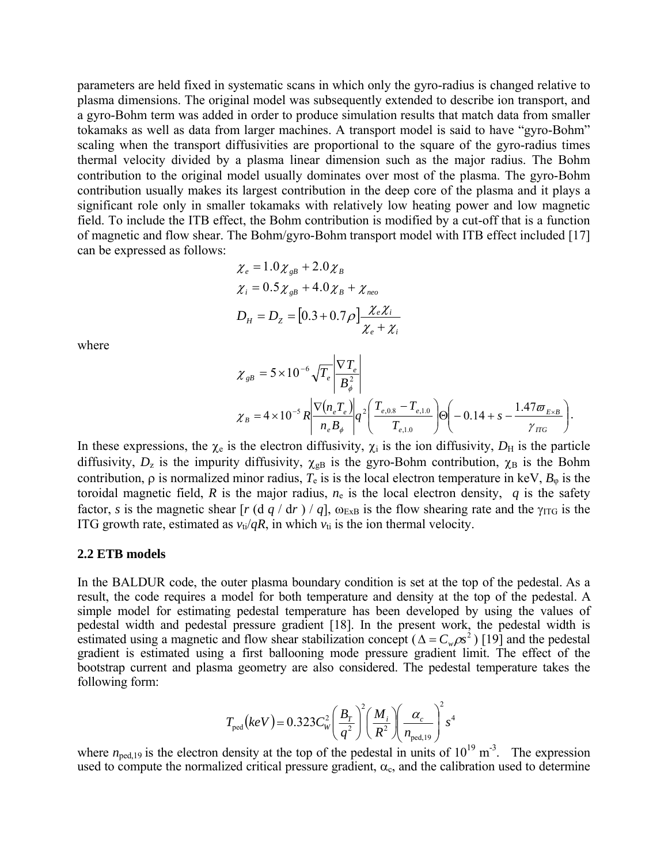parameters are held fixed in systematic scans in which only the gyro-radius is changed relative to plasma dimensions. The original model was subsequently extended to describe ion transport, and a gyro-Bohm term was added in order to produce simulation results that match data from smaller tokamaks as well as data from larger machines. A transport model is said to have "gyro-Bohm" scaling when the transport diffusivities are proportional to the square of the gyro-radius times thermal velocity divided by a plasma linear dimension such as the major radius. The Bohm contribution to the original model usually dominates over most of the plasma. The gyro-Bohm contribution usually makes its largest contribution in the deep core of the plasma and it plays a significant role only in smaller tokamaks with relatively low heating power and low magnetic field. To include the ITB effect, the Bohm contribution is modified by a cut-off that is a function of magnetic and flow shear. The Bohm/gyro-Bohm transport model with ITB effect included [17] can be expressed as follows:

$$
\chi_e = 1.0 \chi_{gB} + 2.0 \chi_B
$$
  
\n
$$
\chi_i = 0.5 \chi_{gB} + 4.0 \chi_B + \chi_{neo}
$$
  
\n
$$
D_H = D_Z = [0.3 + 0.7 \rho] \frac{\chi_e \chi_i}{\chi_e + \chi_i}
$$

where

$$
\chi_{gB} = 5 \times 10^{-6} \sqrt{T_e} \left| \frac{\nabla T_e}{B_{\phi}^2} \right|
$$
  

$$
\chi_B = 4 \times 10^{-5} R \left| \frac{\nabla (n_e T_e)}{n_e B_{\phi}} \right| q^2 \left( \frac{T_{e,0.8} - T_{e,1.0}}{T_{e,1.0}} \right) \Theta \left( -0.14 + s - \frac{1.47 \pi E_{gB}}{\gamma_{TG}} \right).
$$

In these expressions, the  $\chi_e$  is the electron diffusivity,  $\chi_i$  is the ion diffusivity,  $D_H$  is the particle diffusivity,  $D_z$  is the impurity diffusivity,  $\chi_{\text{B}}$  is the gyro-Bohm contribution,  $\chi_{\text{B}}$  is the Bohm contribution,  $\rho$  is normalized minor radius,  $T_e$  is is the local electron temperature in keV,  $B_{\varphi}$  is the toroidal magnetic field, *R* is the major radius,  $n_e$  is the local electron density, *q* is the safety factor, *s* is the magnetic shear  $[r(d q/dr) / q]$ ,  $\omega_{ExB}$  is the flow shearing rate and the  $\gamma_{ITG}$  is the ITG growth rate, estimated as  $v_{ti}/qR$ , in which  $v_{ti}$  is the ion thermal velocity.

#### **2.2 ETB models**

In the BALDUR code, the outer plasma boundary condition is set at the top of the pedestal. As a result, the code requires a model for both temperature and density at the top of the pedestal. A simple model for estimating pedestal temperature has been developed by using the values of pedestal width and pedestal pressure gradient [18]. In the present work, the pedestal width is estimated using a magnetic and flow shear stabilization concept ( $\Delta = C_w \rho s^2$ ) [19] and the pedestal gradient is estimated using a first ballooning mode pressure gradient limit. The effect of the bootstrap current and plasma geometry are also considered. The pedestal temperature takes the following form:

$$
T_{\text{ped}}(keV) = 0.323 C_W^2 \left(\frac{B_T}{q^2}\right)^2 \left(\frac{M_i}{R^2}\right) \left(\frac{\alpha_c}{n_{\text{ped,19}}}\right)^2 s^4
$$

where  $n_{\text{ped,19}}$  is the electron density at the top of the pedestal in units of  $10^{19} \text{ m}^3$ . The expression used to compute the normalized critical pressure gradient,  $\alpha_c$ , and the calibration used to determine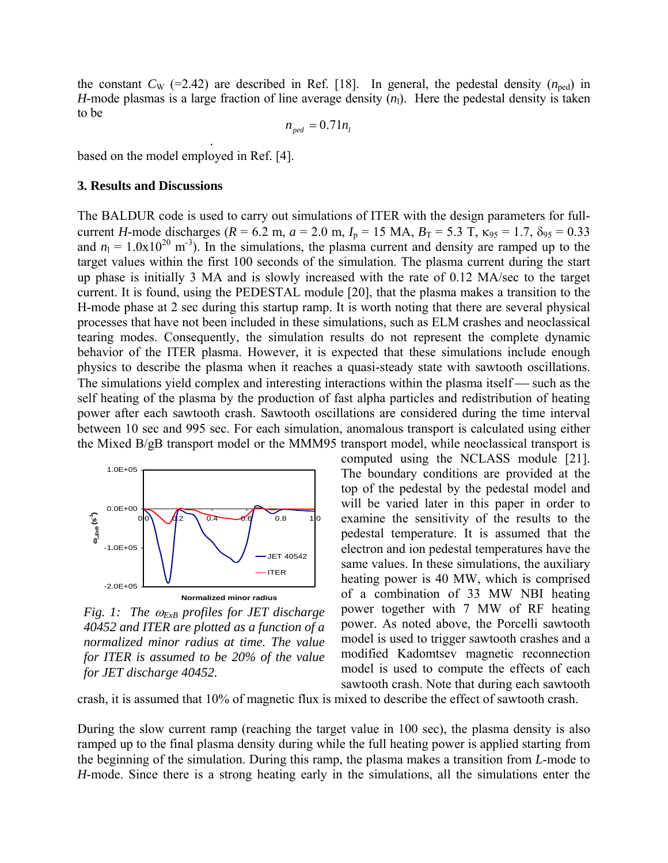the constant  $C_W$  (=2.42) are described in Ref. [18]. In general, the pedestal density  $(n_{\text{ped}})$  in *H*-mode plasmas is a large fraction of line average density  $(n_1)$ . Here the pedestal density is taken to be

$$
n_{\text{ped}} = 0.71 n_l
$$

based on the model employed in Ref. [4].

.

#### **3. Results and Discussions**

The BALDUR code is used to carry out simulations of ITER with the design parameters for fullcurrent *H*-mode discharges ( $R = 6.2$  m,  $a = 2.0$  m,  $I_p = 15$  MA,  $B_T = 5.3$  T,  $\kappa_{95} = 1.7$ ,  $\delta_{95} = 0.33$ and  $n_1 = 1.0 \times 10^{20}$  m<sup>-3</sup>). In the simulations, the plasma current and density are ramped up to the target values within the first 100 seconds of the simulation. The plasma current during the start up phase is initially 3 MA and is slowly increased with the rate of 0.12 MA/sec to the target current. It is found, using the PEDESTAL module [20], that the plasma makes a transition to the H-mode phase at 2 sec during this startup ramp. It is worth noting that there are several physical processes that have not been included in these simulations, such as ELM crashes and neoclassical tearing modes. Consequently, the simulation results do not represent the complete dynamic behavior of the ITER plasma. However, it is expected that these simulations include enough physics to describe the plasma when it reaches a quasi-steady state with sawtooth oscillations. The simulations yield complex and interesting interactions within the plasma itself  $-$  such as the self heating of the plasma by the production of fast alpha particles and redistribution of heating power after each sawtooth crash. Sawtooth oscillations are considered during the time interval between 10 sec and 995 sec. For each simulation, anomalous transport is calculated using either the Mixed B/gB transport model or the MMM95 transport model, while neoclassical transport is



*Fig. 1: The* ω*ExB profiles for JET discharge 40452 and ITER are plotted as a function of a normalized minor radius at time. The value for ITER is assumed to be 20% of the value for JET discharge 40452.* 

computed using the NCLASS module [21]. The boundary conditions are provided at the top of the pedestal by the pedestal model and will be varied later in this paper in order to examine the sensitivity of the results to the pedestal temperature. It is assumed that the electron and ion pedestal temperatures have the same values. In these simulations, the auxiliary heating power is 40 MW, which is comprised of a combination of 33 MW NBI heating power together with 7 MW of RF heating power. As noted above, the Porcelli sawtooth model is used to trigger sawtooth crashes and a modified Kadomtsev magnetic reconnection model is used to compute the effects of each sawtooth crash. Note that during each sawtooth

crash, it is assumed that 10% of magnetic flux is mixed to describe the effect of sawtooth crash.

During the slow current ramp (reaching the target value in 100 sec), the plasma density is also ramped up to the final plasma density during while the full heating power is applied starting from the beginning of the simulation. During this ramp, the plasma makes a transition from *L*-mode to *H*-mode. Since there is a strong heating early in the simulations, all the simulations enter the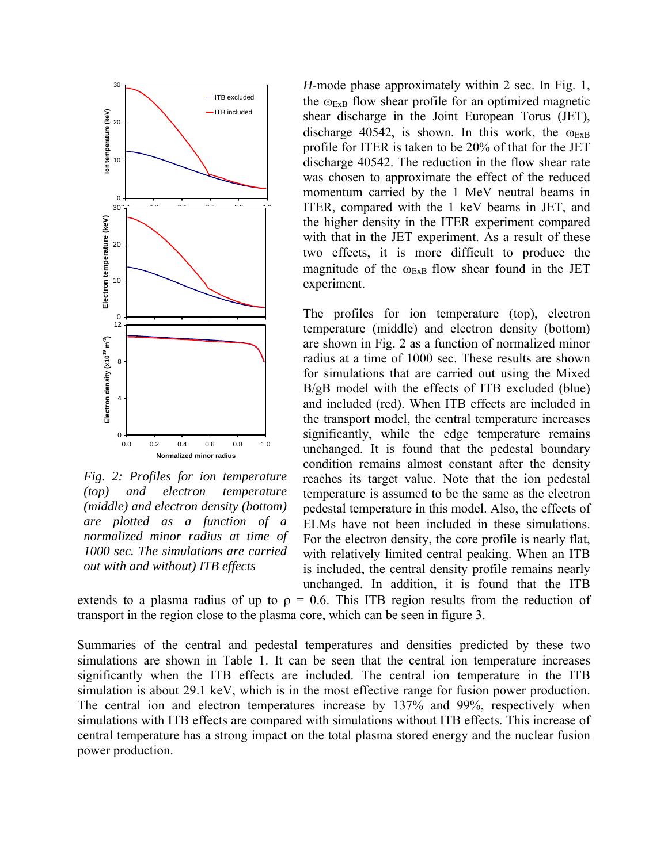

*Fig. 2: Profiles for ion temperature (top) and electron temperature (middle) and electron density (bottom) are plotted as a function of a normalized minor radius at time of 1000 sec. The simulations are carried out with and without) ITB effects* 

*H*-mode phase approximately within 2 sec. In Fig. 1, the  $\omega_{ExB}$  flow shear profile for an optimized magnetic shear discharge in the Joint European Torus (JET), discharge 40542, is shown. In this work, the  $\omega_{ExB}$ profile for ITER is taken to be 20% of that for the JET discharge 40542. The reduction in the flow shear rate was chosen to approximate the effect of the reduced momentum carried by the 1 MeV neutral beams in ITER, compared with the 1 keV beams in JET, and the higher density in the ITER experiment compared with that in the JET experiment. As a result of these two effects, it is more difficult to produce the magnitude of the  $\omega_{ExB}$  flow shear found in the JET experiment.

The profiles for ion temperature (top), electron temperature (middle) and electron density (bottom) are shown in Fig. 2 as a function of normalized minor radius at a time of 1000 sec. These results are shown for simulations that are carried out using the Mixed B/gB model with the effects of ITB excluded (blue) and included (red). When ITB effects are included in the transport model, the central temperature increases significantly, while the edge temperature remains unchanged. It is found that the pedestal boundary condition remains almost constant after the density reaches its target value. Note that the ion pedestal temperature is assumed to be the same as the electron pedestal temperature in this model. Also, the effects of ELMs have not been included in these simulations. For the electron density, the core profile is nearly flat, with relatively limited central peaking. When an ITB is included, the central density profile remains nearly unchanged. In addition, it is found that the ITB

extends to a plasma radius of up to  $\rho = 0.6$ . This ITB region results from the reduction of transport in the region close to the plasma core, which can be seen in figure 3.

Summaries of the central and pedestal temperatures and densities predicted by these two simulations are shown in Table 1. It can be seen that the central ion temperature increases significantly when the ITB effects are included. The central ion temperature in the ITB simulation is about 29.1 keV, which is in the most effective range for fusion power production. The central ion and electron temperatures increase by 137% and 99%, respectively when simulations with ITB effects are compared with simulations without ITB effects. This increase of central temperature has a strong impact on the total plasma stored energy and the nuclear fusion power production.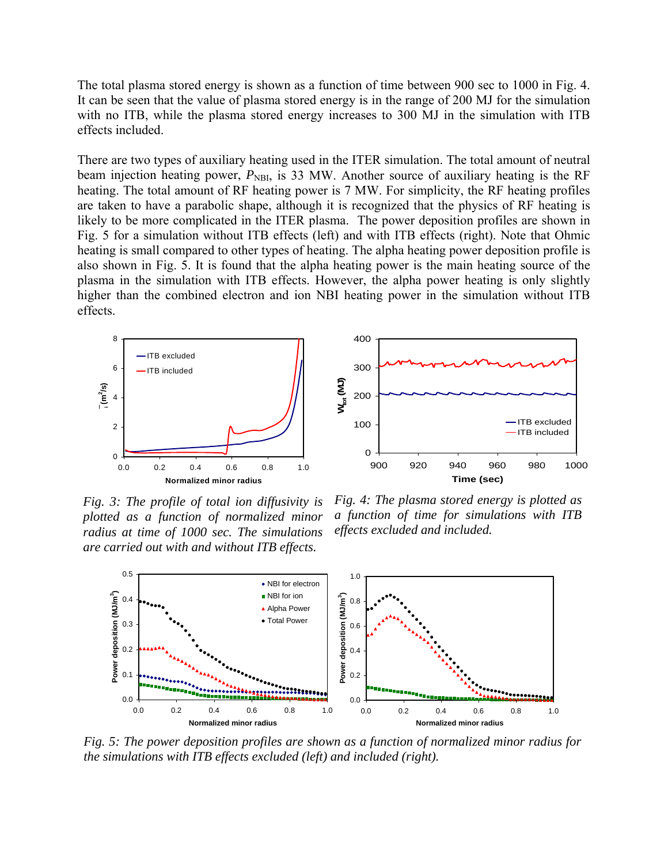The total plasma stored energy is shown as a function of time between 900 sec to 1000 in Fig. 4. It can be seen that the value of plasma stored energy is in the range of 200 MJ for the simulation with no ITB, while the plasma stored energy increases to 300 MJ in the simulation with ITB effects included.

There are two types of auxiliary heating used in the ITER simulation. The total amount of neutral beam injection heating power,  $P_{\text{NBI}}$ , is 33 MW. Another source of auxiliary heating is the RF heating. The total amount of RF heating power is 7 MW. For simplicity, the RF heating profiles are taken to have a parabolic shape, although it is recognized that the physics of RF heating is likely to be more complicated in the ITER plasma. The power deposition profiles are shown in Fig. 5 for a simulation without ITB effects (left) and with ITB effects (right). Note that Ohmic heating is small compared to other types of heating. The alpha heating power deposition profile is also shown in Fig. 5. It is found that the alpha heating power is the main heating source of the plasma in the simulation with ITB effects. However, the alpha power heating is only slightly higher than the combined electron and ion NBI heating power in the simulation without ITB effects.





*Fig. 3: The profile of total ion diffusivity is plotted as a function of normalized minor radius at time of 1000 sec. The simulations are carried out with and without ITB effects.* 

*Fig. 4: The plasma stored energy is plotted as a function of time for simulations with ITB effects excluded and included.* 



*Fig. 5: The power deposition profiles are shown as a function of normalized minor radius for the simulations with ITB effects excluded (left) and included (right).*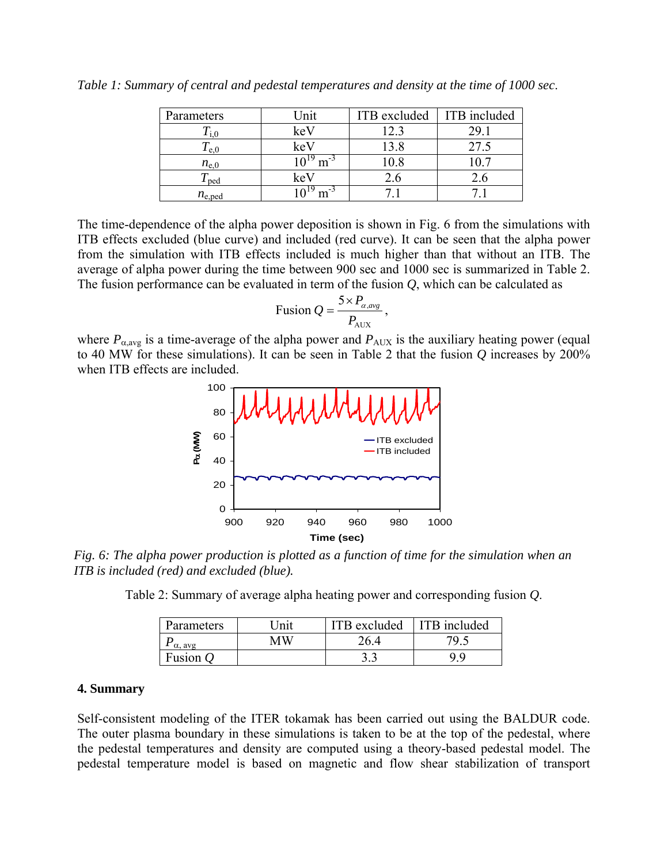| Parameters    | Jnit      | ITB excluded | ITB included |
|---------------|-----------|--------------|--------------|
|               | keV       |              |              |
| e, 0          | $k$ e $V$ |              |              |
| $n_{\rm e,0}$ |           |              |              |
| ped           | KeV       | 4.b          |              |
| $n_{e,ped}$   |           |              |              |

*Table 1: Summary of central and pedestal temperatures and density at the time of 1000 sec*.

The time-dependence of the alpha power deposition is shown in Fig. 6 from the simulations with ITB effects excluded (blue curve) and included (red curve). It can be seen that the alpha power from the simulation with ITB effects included is much higher than that without an ITB. The average of alpha power during the time between 900 sec and 1000 sec is summarized in Table 2. The fusion performance can be evaluated in term of the fusion *Q*, which can be calculated as

$$
\text{Fusion } Q = \frac{5 \times P_{\alpha, avg}}{P_{\text{AUX}}},
$$

where  $P_{\alpha, avg}$  is a time-average of the alpha power and  $P_{AUX}$  is the auxiliary heating power (equal to 40 MW for these simulations). It can be seen in Table 2 that the fusion *Q* increases by 200% when ITB effects are included.



*Fig. 6: The alpha power production is plotted as a function of time for the simulation when an ITB is included (red) and excluded (blue).* 

Table 2: Summary of average alpha heating power and corresponding fusion *Q*.

| Parameters     | Init | ITB excluded | ITB included |
|----------------|------|--------------|--------------|
| $\alpha$ , avg | мw   | 26.4         | 7Q.          |
| Fusion         |      | ر. ر         |              |

#### **4. Summary**

Self-consistent modeling of the ITER tokamak has been carried out using the BALDUR code. The outer plasma boundary in these simulations is taken to be at the top of the pedestal, where the pedestal temperatures and density are computed using a theory-based pedestal model. The pedestal temperature model is based on magnetic and flow shear stabilization of transport